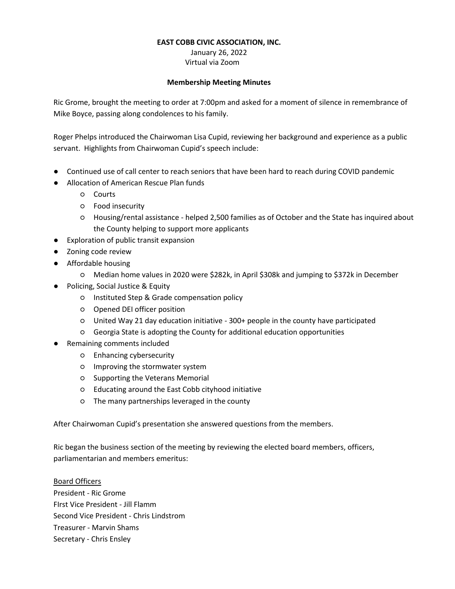#### **EAST COBB CIVIC ASSOCIATION, INC.**

#### January 26, 2022 Virtual via Zoom

#### **Membership Meeting Minutes**

Ric Grome, brought the meeting to order at 7:00pm and asked for a moment of silence in remembrance of Mike Boyce, passing along condolences to his family.

Roger Phelps introduced the Chairwoman Lisa Cupid, reviewing her background and experience as a public servant. Highlights from Chairwoman Cupid's speech include:

- Continued use of call center to reach seniors that have been hard to reach during COVID pandemic
- Allocation of American Rescue Plan funds
	- Courts
	- Food insecurity
	- Housing/rental assistance helped 2,500 families as of October and the State has inquired about the County helping to support more applicants
- Exploration of public transit expansion
- Zoning code review
- Affordable housing
	- Median home values in 2020 were \$282k, in April \$308k and jumping to \$372k in December
- Policing, Social Justice & Equity
	- Instituted Step & Grade compensation policy
	- Opened DEI officer position
	- United Way 21 day education initiative 300+ people in the county have participated
	- Georgia State is adopting the County for additional education opportunities
- Remaining comments included
	- Enhancing cybersecurity
	- Improving the stormwater system
	- Supporting the Veterans Memorial
	- Educating around the East Cobb cityhood initiative
	- The many partnerships leveraged in the county

After Chairwoman Cupid's presentation she answered questions from the members.

Ric began the business section of the meeting by reviewing the elected board members, officers, parliamentarian and members emeritus:

Board Officers President - Ric Grome FIrst Vice President - Jill Flamm Second Vice President - Chris Lindstrom Treasurer - Marvin Shams Secretary - Chris Ensley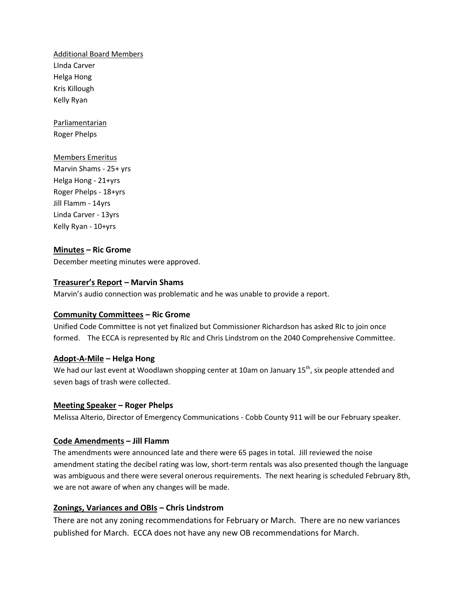Additional Board Members LInda Carver Helga Hong Kris Killough Kelly Ryan

**Parliamentarian** Roger Phelps

### Members Emeritus

Marvin Shams - 25+ yrs Helga Hong - 21+yrs Roger Phelps - 18+yrs Jill Flamm - 14yrs Linda Carver - 13yrs Kelly Ryan - 10+yrs

# **Minutes – Ric Grome**

December meeting minutes were approved.

#### **Treasurer's Report – Marvin Shams**

Marvin's audio connection was problematic and he was unable to provide a report.

#### **Community Committees – Ric Grome**

Unified Code Committee is not yet finalized but Commissioner Richardson has asked RIc to join once formed. The ECCA is represented by RIc and Chris Lindstrom on the 2040 Comprehensive Committee.

#### **Adopt-A-Mile – Helga Hong**

We had our last event at Woodlawn shopping center at 10am on January 15<sup>th</sup>, six people attended and seven bags of trash were collected.

#### **Meeting Speaker – Roger Phelps**

Melissa Alterio, Director of Emergency Communications - Cobb County 911 will be our February speaker.

### **Code Amendments – Jill Flamm**

The amendments were announced late and there were 65 pages in total. Jill reviewed the noise amendment stating the decibel rating was low, short-term rentals was also presented though the language was ambiguous and there were several onerous requirements. The next hearing is scheduled February 8th, we are not aware of when any changes will be made.

#### **Zonings, Variances and OBIs – Chris Lindstrom**

There are not any zoning recommendations for February or March. There are no new variances published for March. ECCA does not have any new OB recommendations for March.